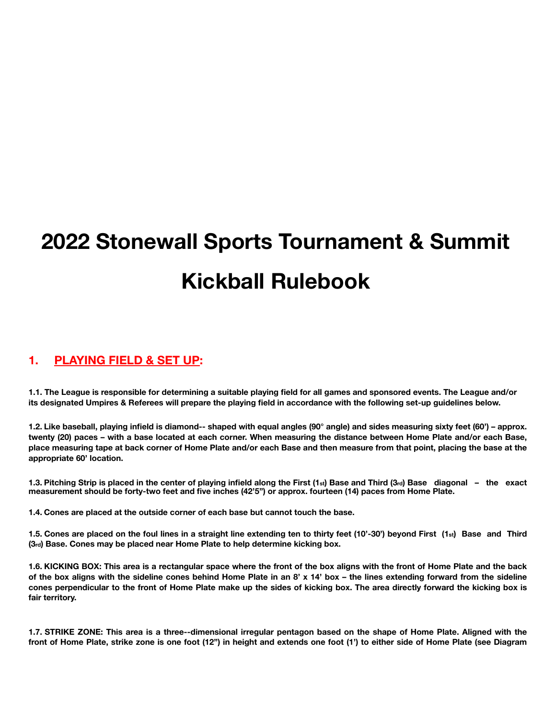# **2022 Stonewall Sports Tournament & Summit Kickball Rulebook**

## **1. PLAYING FIELD & SET UP:**

**1.1. The League is responsible for determining a suitable playing field for all games and sponsored events. The League and/or its designated Umpires & Referees will prepare the playing field in accordance with the following set-up guidelines below.** 

**1.2. Like baseball, playing infield is diamond-‐ shaped with equal angles (90° angle) and sides measuring sixty feet (60') – approx. twenty (20) paces – with a base located at each corner. When measuring the distance between Home Plate and/or each Base, place measuring tape at back corner of Home Plate and/or each Base and then measure from that point, placing the base at the appropriate 60' location.** 

**1.3. Pitching Strip is placed in the center of playing infield along the First (1st) Base and Third (3rd) Base diagonal – the exact measurement should be forty-two feet and five inches (42'5") or approx. fourteen (14) paces from Home Plate.** 

**1.4. Cones are placed at the outside corner of each base but cannot touch the base.** 

**1.5. Cones are placed on the foul lines in a straight line extending ten to thirty feet (10'-30') beyond First (1st) Base and Third (3rd) Base. Cones may be placed near Home Plate to help determine kicking box.** 

**1.6. KICKING BOX: This area is a rectangular space where the front of the box aligns with the front of Home Plate and the back of the box aligns with the sideline cones behind Home Plate in an 8' x 14' box – the lines extending forward from the sideline cones perpendicular to the front of Home Plate make up the sides of kicking box. The area directly forward the kicking box is fair territory.** 

**1.7. STRIKE ZONE: This area is a three-‐dimensional irregular pentagon based on the shape of Home Plate. Aligned with the front of Home Plate, strike zone is one foot (12") in height and extends one foot (1') to either side of Home Plate (see Diagram**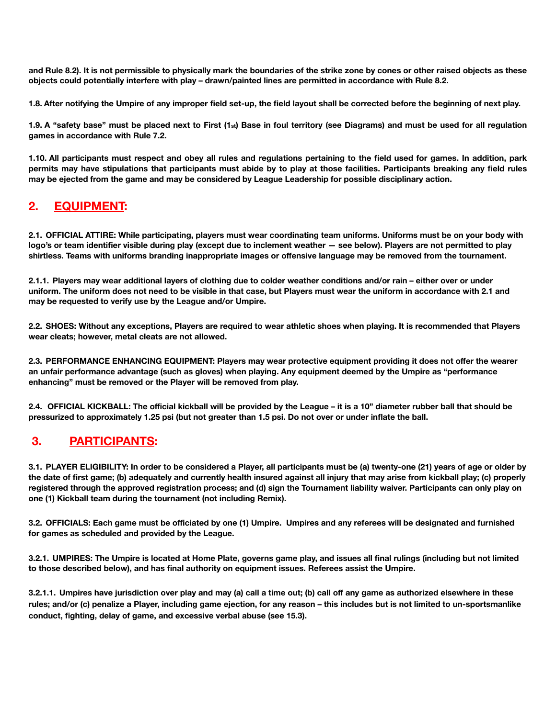**and Rule 8.2). It is not permissible to physically mark the boundaries of the strike zone by cones or other raised objects as these objects could potentially interfere with play – drawn/painted lines are permitted in accordance with Rule 8.2.** 

**1.8. After notifying the Umpire of any improper field set-up, the field layout shall be corrected before the beginning of next play.** 

**1.9. A "safety base" must be placed next to First (1st) Base in foul territory (see Diagrams) and must be used for all regulation games in accordance with Rule 7.2.** 

**1.10. All participants must respect and obey all rules and regulations pertaining to the field used for games. In addition, park permits may have stipulations that participants must abide by to play at those facilities. Participants breaking any field rules may be ejected from the game and may be considered by League Leadership for possible disciplinary action.** 

# **2. EQUIPMENT:**

**2.1. OFFICIAL ATTIRE: While participating, players must wear coordinating team uniforms. Uniforms must be on your body with logo's or team identifier visible during play (except due to inclement weather — see below). Players are not permitted to play shirtless. Teams with uniforms branding inappropriate images or offensive language may be removed from the tournament.** 

**2.1.1. Players may wear additional layers of clothing due to colder weather conditions and/or rain – either over or under uniform. The uniform does not need to be visible in that case, but Players must wear the uniform in accordance with 2.1 and may be requested to verify use by the League and/or Umpire.** 

**2.2. SHOES: Without any exceptions, Players are required to wear athletic shoes when playing. It is recommended that Players wear cleats; however, metal cleats are not allowed.** 

**2.3. PERFORMANCE ENHANCING EQUIPMENT: Players may wear protective equipment providing it does not offer the wearer an unfair performance advantage (such as gloves) when playing. Any equipment deemed by the Umpire as "performance enhancing" must be removed or the Player will be removed from play.** 

**2.4. OFFICIAL KICKBALL: The official kickball will be provided by the League – it is a 10" diameter rubber ball that should be pressurized to approximately 1.25 psi (but not greater than 1.5 psi. Do not over or under inflate the ball.** 

# **3. PARTICIPANTS:**

**3.1. PLAYER ELIGIBILITY: In order to be considered a Player, all participants must be (a) twenty-one (21) years of age or older by the date of first game; (b) adequately and currently health insured against all injury that may arise from kickball play; (c) properly registered through the approved registration process; and (d) sign the Tournament liability waiver. Participants can only play on one (1) Kickball team during the tournament (not including Remix).** 

**3.2. OFFICIALS: Each game must be officiated by one (1) Umpire. Umpires and any referees will be designated and furnished for games as scheduled and provided by the League.** 

**3.2.1. UMPIRES: The Umpire is located at Home Plate, governs game play, and issues all final rulings (including but not limited to those described below), and has final authority on equipment issues. Referees assist the Umpire.** 

**3.2.1.1. Umpires have jurisdiction over play and may (a) call a time out; (b) call off any game as authorized elsewhere in these rules; and/or (c) penalize a Player, including game ejection, for any reason – this includes but is not limited to un-sportsmanlike conduct, fighting, delay of game, and excessive verbal abuse (see 15.3).**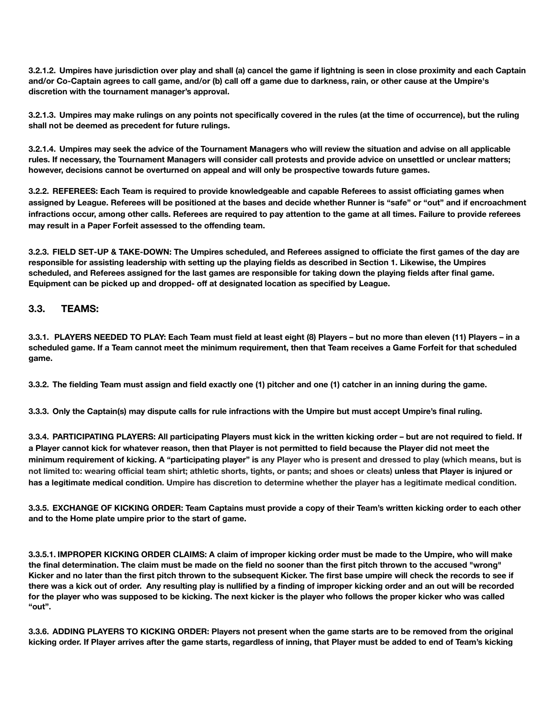**3.2.1.2. Umpires have jurisdiction over play and shall (a) cancel the game if lightning is seen in close proximity and each Captain and/or Co-Captain agrees to call game, and/or (b) call off a game due to darkness, rain, or other cause at the Umpire's discretion with the tournament manager's approval.** 

**3.2.1.3. Umpires may make rulings on any points not specifically covered in the rules (at the time of occurrence), but the ruling shall not be deemed as precedent for future rulings.** 

**3.2.1.4. Umpires may seek the advice of the Tournament Managers who will review the situation and advise on all applicable rules. If necessary, the Tournament Managers will consider call protests and provide advice on unsettled or unclear matters; however, decisions cannot be overturned on appeal and will only be prospective towards future games.** 

**3.2.2. REFEREES: Each Team is required to provide knowledgeable and capable Referees to assist officiating games when assigned by League. Referees will be positioned at the bases and decide whether Runner is "safe" or "out" and if encroachment infractions occur, among other calls. Referees are required to pay attention to the game at all times. Failure to provide referees may result in a Paper Forfeit assessed to the offending team.** 

**3.2.3. FIELD SET‐UP & TAKE-DOWN: The Umpires scheduled, and Referees assigned to officiate the first games of the day are responsible for assisting leadership with setting up the playing fields as described in Section 1. Likewise, the Umpires scheduled, and Referees assigned for the last games are responsible for taking down the playing fields after final game. Equipment can be picked up and dropped- off at designated location as specified by League.** 

#### **3.3. TEAMS:**

**3.3.1. PLAYERS NEEDED TO PLAY: Each Team must field at least eight (8) Players – but no more than eleven (11) Players – in a scheduled game. If a Team cannot meet the minimum requirement, then that Team receives a Game Forfeit for that scheduled game.** 

**3.3.2. The fielding Team must assign and field exactly one (1) pitcher and one (1) catcher in an inning during the game.** 

**3.3.3. Only the Captain(s) may dispute calls for rule infractions with the Umpire but must accept Umpire's final ruling.** 

**3.3.4. PARTICIPATING PLAYERS: All participating Players must kick in the written kicking order – but are not required to field. If a Player cannot kick for whatever reason, then that Player is not permitted to field because the Player did not meet the minimum requirement of kicking. A "participating player" is any Player who is present and dressed to play (which means, but is not limited to: wearing official team shirt; athletic shorts, tights, or pants; and shoes or cleats) unless that Player is injured or has a legitimate medical condition. Umpire has discretion to determine whether the player has a legitimate medical condition.** 

**3.3.5. EXCHANGE OF KICKING ORDER: Team Captains must provide a copy of their Team's written kicking order to each other and to the Home plate umpire prior to the start of game.** 

**3.3.5.1. IMPROPER KICKING ORDER CLAIMS: A claim of improper kicking order must be made to the Umpire, who will make the final determination. The claim must be made on the field no sooner than the first pitch thrown to the accused "wrong" Kicker and no later than the first pitch thrown to the subsequent Kicker. The first base umpire will check the records to see if there was a kick out of order. Any resulting play is nullified by a finding of improper kicking order and an out will be recorded for the player who was supposed to be kicking. The next kicker is the player who follows the proper kicker who was called "out".** 

**3.3.6. ADDING PLAYERS TO KICKING ORDER: Players not present when the game starts are to be removed from the original kicking order. If Player arrives after the game starts, regardless of inning, that Player must be added to end of Team's kicking**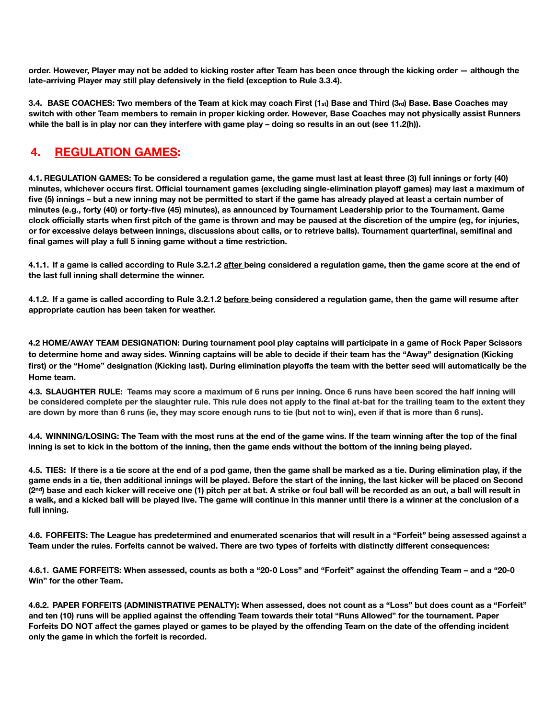**order. However, Player may not be added to kicking roster after Team has been once through the kicking order — although the late‐arriving Player may still play defensively in the field (exception to Rule 3.3.4).** 

**3.4. BASE COACHES: Two members of the Team at kick may coach First (1st) Base and Third (3rd) Base. Base Coaches may switch with other Team members to remain in proper kicking order. However, Base Coaches may not physically assist Runners**  while the ball is in play nor can they interfere with game play – doing so results in an out (see 11.2(h)).

## **4. REGULATION GAMES:**

**4.1. REGULATION GAMES: To be considered a regulation game, the game must last at least three (3) full innings or forty (40) minutes, whichever occurs first. Official tournament games (excluding single-elimination playoff games) may last a maximum of five (5) innings – but a new inning may not be permitted to start if the game has already played at least a certain number of minutes (e.g., forty (40) or forty-five (45) minutes), as announced by Tournament Leadership prior to the Tournament. Game clock officially starts when first pitch of the game is thrown and may be paused at the discretion of the umpire (eg, for injuries, or for excessive delays between innings, discussions about calls, or to retrieve balls). Tournament quarterfinal, semifinal and final games will play a full 5 inning game without a time restriction.** 

**4.1.1. If a game is called according to Rule 3.2.1.2 after being considered a regulation game, then the game score at the end of the last full inning shall determine the winner.** 

**4.1.2. If a game is called according to Rule 3.2.1.2 before being considered a regulation game, then the game will resume after appropriate caution has been taken for weather.** 

**4.2 HOME/AWAY TEAM DESIGNATION: During tournament pool play captains will participate in a game of Rock Paper Scissors to determine home and away sides. Winning captains will be able to decide if their team has the "Away" designation (Kicking first) or the "Home" designation (Kicking last). During elimination playoffs the team with the better seed will automatically be the Home team.** 

**4.3. SLAUGHTER RULE: Teams may score a maximum of 6 runs per inning. Once 6 runs have been scored the half inning will be considered complete per the slaughter rule. This rule does not apply to the final at-bat for the trailing team to the extent they are down by more than 6 runs (ie, they may score enough runs to tie (but not to win), even if that is more than 6 runs).** 

**4.4. WINNING/LOSING: The Team with the most runs at the end of the game wins. If the team winning after the top of the final inning is set to kick in the bottom of the inning, then the game ends without the bottom of the inning being played.** 

**4.5. TIES: If there is a tie score at the end of a pod game, then the game shall be marked as a tie. During elimination play, if the game ends in a tie, then additional innings will be played. Before the start of the inning, the last kicker will be placed on Second (2nd) base and each kicker will receive one (1) pitch per at bat. A strike or foul ball will be recorded as an out, a ball will result in a walk, and a kicked ball will be played live. The game will continue in this manner until there is a winner at the conclusion of a full inning.** 

**4.6. FORFEITS: The League has predetermined and enumerated scenarios that will result in a "Forfeit" being assessed against a Team under the rules. Forfeits cannot be waived. There are two types of forfeits with distinctly different consequences:** 

**4.6.1. GAME FORFEITS: When assessed, counts as both a "20‐0 Loss" and "Forfeit" against the offending Team – and a "20‐0 Win" for the other Team.** 

**4.6.2. PAPER FORFEITS (ADMINISTRATIVE PENALTY): When assessed, does not count as a "Loss" but does count as a "Forfeit" and ten (10) runs will be applied against the offending Team towards their total "Runs Allowed" for the tournament. Paper Forfeits DO NOT affect the games played or games to be played by the offending Team on the date of the offending incident only the game in which the forfeit is recorded.**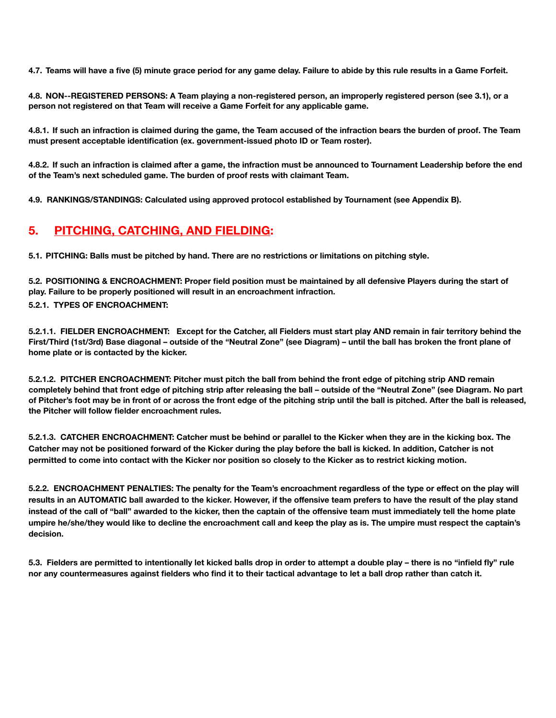**4.7. Teams will have a five (5) minute grace period for any game delay. Failure to abide by this rule results in a Game Forfeit.** 

**4.8. NON-‐REGISTERED PERSONS: A Team playing a non-registered person, an improperly registered person (see 3.1), or a person not registered on that Team will receive a Game Forfeit for any applicable game.** 

**4.8.1. If such an infraction is claimed during the game, the Team accused of the infraction bears the burden of proof. The Team must present acceptable identification (ex. government-issued photo ID or Team roster).** 

**4.8.2. If such an infraction is claimed after a game, the infraction must be announced to Tournament Leadership before the end of the Team's next scheduled game. The burden of proof rests with claimant Team.** 

**4.9. RANKINGS/STANDINGS: Calculated using approved protocol established by Tournament (see Appendix B).**

## **5. PITCHING, CATCHING, AND FIELDING:**

**5.1. PITCHING: Balls must be pitched by hand. There are no restrictions or limitations on pitching style.** 

**5.2. POSITIONING & ENCROACHMENT: Proper field position must be maintained by all defensive Players during the start of play. Failure to be properly positioned will result in an encroachment infraction.** 

#### **5.2.1. TYPES OF ENCROACHMENT:**

**5.2.1.1. FIELDER ENCROACHMENT: Except for the Catcher, all Fielders must start play AND remain in fair territory behind the First/Third (1st/3rd) Base diagonal – outside of the "Neutral Zone" (see Diagram) – until the ball has broken the front plane of home plate or is contacted by the kicker.** 

**5.2.1.2. PITCHER ENCROACHMENT: Pitcher must pitch the ball from behind the front edge of pitching strip AND remain completely behind that front edge of pitching strip after releasing the ball – outside of the "Neutral Zone" (see Diagram. No part of Pitcher's foot may be in front of or across the front edge of the pitching strip until the ball is pitched. After the ball is released, the Pitcher will follow fielder encroachment rules.** 

**5.2.1.3. CATCHER ENCROACHMENT: Catcher must be behind or parallel to the Kicker when they are in the kicking box. The Catcher may not be positioned forward of the Kicker during the play before the ball is kicked. In addition, Catcher is not permitted to come into contact with the Kicker nor position so closely to the Kicker as to restrict kicking motion.** 

**5.2.2. ENCROACHMENT PENALTIES: The penalty for the Team's encroachment regardless of the type or effect on the play will**  results in an AUTOMATIC ball awarded to the kicker. However, if the offensive team prefers to have the result of the play stand **instead of the call of "ball" awarded to the kicker, then the captain of the offensive team must immediately tell the home plate umpire he/she/they would like to decline the encroachment call and keep the play as is. The umpire must respect the captain's decision.** 

**5.3. Fielders are permitted to intentionally let kicked balls drop in order to attempt a double play – there is no "infield fly" rule nor any countermeasures against fielders who find it to their tactical advantage to let a ball drop rather than catch it.**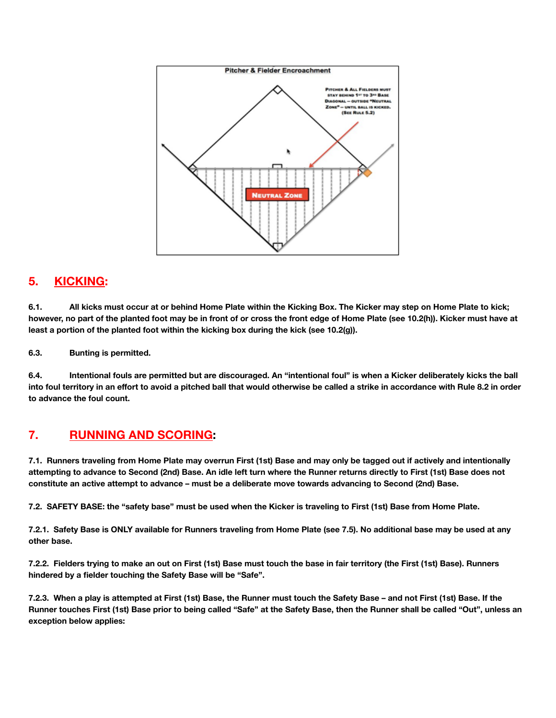

## **5. KICKING:**

**6.1. All kicks must occur at or behind Home Plate within the Kicking Box. The Kicker may step on Home Plate to kick; however, no part of the planted foot may be in front of or cross the front edge of Home Plate (see 10.2(h)). Kicker must have at least a portion of the planted foot within the kicking box during the kick (see 10.2(g)).** 

**6.3. Bunting is permitted.** 

**6.4. Intentional fouls are permitted but are discouraged. An "intentional foul" is when a Kicker deliberately kicks the ball into foul territory in an effort to avoid a pitched ball that would otherwise be called a strike in accordance with Rule 8.2 in order to advance the foul count.** 

## **7. RUNNING AND SCORING:**

**7.1. Runners traveling from Home Plate may overrun First (1st) Base and may only be tagged out if actively and intentionally attempting to advance to Second (2nd) Base. An idle left turn where the Runner returns directly to First (1st) Base does not constitute an active attempt to advance – must be a deliberate move towards advancing to Second (2nd) Base.** 

**7.2. SAFETY BASE: the "safety base" must be used when the Kicker is traveling to First (1st) Base from Home Plate.** 

**7.2.1. Safety Base is ONLY available for Runners traveling from Home Plate (see 7.5). No additional base may be used at any other base.** 

**7.2.2. Fielders trying to make an out on First (1st) Base must touch the base in fair territory (the First (1st) Base). Runners hindered by a fielder touching the Safety Base will be "Safe".** 

**7.2.3. When a play is attempted at First (1st) Base, the Runner must touch the Safety Base – and not First (1st) Base. If the Runner touches First (1st) Base prior to being called "Safe" at the Safety Base, then the Runner shall be called "Out", unless an exception below applies:**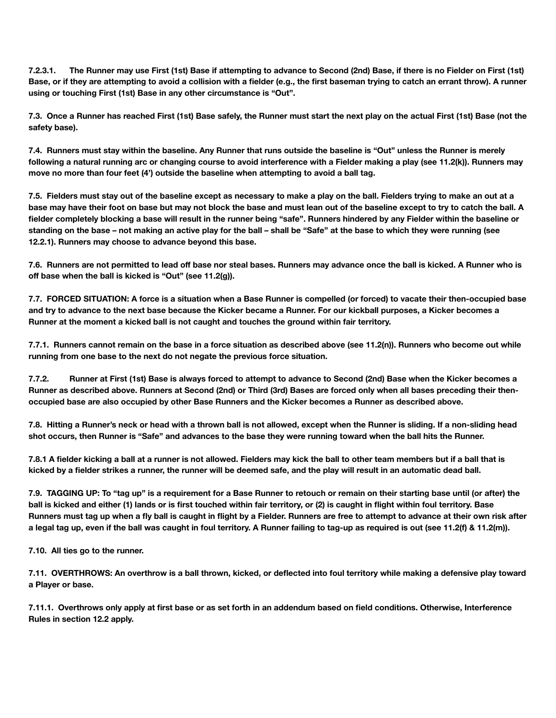**7.2.3.1. The Runner may use First (1st) Base if attempting to advance to Second (2nd) Base, if there is no Fielder on First (1st) Base, or if they are attempting to avoid a collision with a fielder (e.g., the first baseman trying to catch an errant throw). A runner using or touching First (1st) Base in any other circumstance is "Out".** 

**7.3. Once a Runner has reached First (1st) Base safely, the Runner must start the next play on the actual First (1st) Base (not the safety base).** 

**7.4. Runners must stay within the baseline. Any Runner that runs outside the baseline is "Out" unless the Runner is merely following a natural running arc or changing course to avoid interference with a Fielder making a play (see 11.2(k)). Runners may move no more than four feet (4') outside the baseline when attempting to avoid a ball tag.** 

**7.5. Fielders must stay out of the baseline except as necessary to make a play on the ball. Fielders trying to make an out at a base may have their foot on base but may not block the base and must lean out of the baseline except to try to catch the ball. A fielder completely blocking a base will result in the runner being "safe". Runners hindered by any Fielder within the baseline or standing on the base – not making an active play for the ball – shall be "Safe" at the base to which they were running (see 12.2.1). Runners may choose to advance beyond this base.** 

**7.6. Runners are not permitted to lead off base nor steal bases. Runners may advance once the ball is kicked. A Runner who is off base when the ball is kicked is "Out" (see 11.2(g)).** 

**7.7. FORCED SITUATION: A force is a situation when a Base Runner is compelled (or forced) to vacate their then-occupied base and try to advance to the next base because the Kicker became a Runner. For our kickball purposes, a Kicker becomes a Runner at the moment a kicked ball is not caught and touches the ground within fair territory.** 

**7.7.1. Runners cannot remain on the base in a force situation as described above (see 11.2(n)). Runners who become out while running from one base to the next do not negate the previous force situation.** 

**7.7.2. Runner at First (1st) Base is always forced to attempt to advance to Second (2nd) Base when the Kicker becomes a Runner as described above. Runners at Second (2nd) or Third (3rd) Bases are forced only when all bases preceding their thenoccupied base are also occupied by other Base Runners and the Kicker becomes a Runner as described above.** 

**7.8. Hitting a Runner's neck or head with a thrown ball is not allowed, except when the Runner is sliding. If a non-sliding head shot occurs, then Runner is "Safe" and advances to the base they were running toward when the ball hits the Runner.** 

**7.8.1 A fielder kicking a ball at a runner is not allowed. Fielders may kick the ball to other team members but if a ball that is kicked by a fielder strikes a runner, the runner will be deemed safe, and the play will result in an automatic dead ball.** 

**7.9. TAGGING UP: To "tag up" is a requirement for a Base Runner to retouch or remain on their starting base until (or after) the ball is kicked and either (1) lands or is first touched within fair territory, or (2) is caught in flight within foul territory. Base Runners must tag up when a fly ball is caught in flight by a Fielder. Runners are free to attempt to advance at their own risk after a legal tag up, even if the ball was caught in foul territory. A Runner failing to tag‐up as required is out (see 11.2(f) & 11.2(m)).** 

**7.10. All ties go to the runner.** 

**7.11. OVERTHROWS: An overthrow is a ball thrown, kicked, or deflected into foul territory while making a defensive play toward a Player or base.** 

**7.11.1. Overthrows only apply at first base or as set forth in an addendum based on field conditions. Otherwise, Interference Rules in section 12.2 apply.**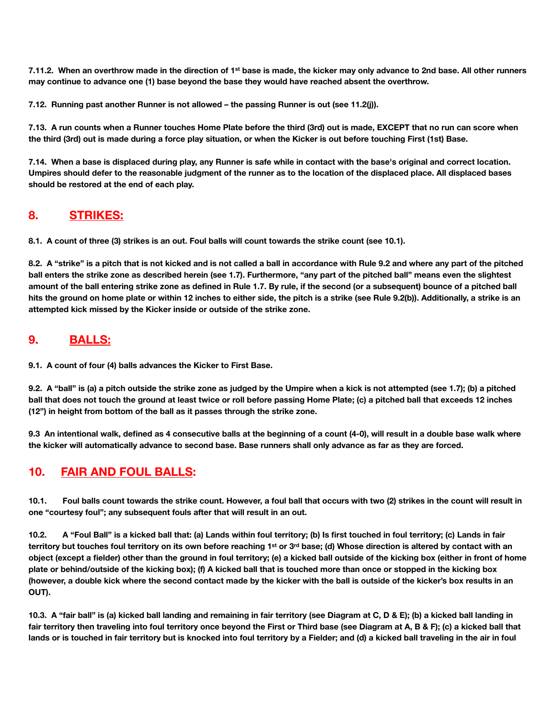**7.11.2. When an overthrow made in the direction of 1st base is made, the kicker may only advance to 2nd base. All other runners may continue to advance one (1) base beyond the base they would have reached absent the overthrow.** 

**7.12. Running past another Runner is not allowed – the passing Runner is out (see 11.2(j)).** 

**7.13. A run counts when a Runner touches Home Plate before the third (3rd) out is made, EXCEPT that no run can score when the third (3rd) out is made during a force play situation, or when the Kicker is out before touching First (1st) Base.** 

**7.14. When a base is displaced during play, any Runner is safe while in contact with the base's original and correct location. Umpires should defer to the reasonable judgment of the runner as to the location of the displaced place. All displaced bases should be restored at the end of each play.** 

#### **8. STRIKES:**

**8.1. A count of three (3) strikes is an out. Foul balls will count towards the strike count (see 10.1).** 

**8.2. A "strike" is a pitch that is not kicked and is not called a ball in accordance with Rule 9.2 and where any part of the pitched ball enters the strike zone as described herein (see 1.7). Furthermore, "any part of the pitched ball" means even the slightest amount of the ball entering strike zone as defined in Rule 1.7. By rule, if the second (or a subsequent) bounce of a pitched ball hits the ground on home plate or within 12 inches to either side, the pitch is a strike (see Rule 9.2(b)). Additionally, a strike is an attempted kick missed by the Kicker inside or outside of the strike zone.** 

#### **9. BALLS:**

**9.1. A count of four (4) balls advances the Kicker to First Base.** 

**9.2. A "ball" is (a) a pitch outside the strike zone as judged by the Umpire when a kick is not attempted (see 1.7); (b) a pitched ball that does not touch the ground at least twice or roll before passing Home Plate; (c) a pitched ball that exceeds 12 inches (12") in height from bottom of the ball as it passes through the strike zone.** 

**9.3 An intentional walk, defined as 4 consecutive balls at the beginning of a count (4-0), will result in a double base walk where the kicker will automatically advance to second base. Base runners shall only advance as far as they are forced.** 

## **10. FAIR AND FOUL BALLS:**

**10.1. Foul balls count towards the strike count. However, a foul ball that occurs with two (2) strikes in the count will result in one "courtesy foul"; any subsequent fouls after that will result in an out.** 

**10.2. A "Foul Ball" is a kicked ball that: (a) Lands within foul territory; (b) Is first touched in foul territory; (c) Lands in fair**  territory but touches foul territory on its own before reaching 1<sup>st</sup> or 3<sup>rd</sup> base; (d) Whose direction is altered by contact with an **object (except a fielder) other than the ground in foul territory; (e) a kicked ball outside of the kicking box (either in front of home plate or behind/outside of the kicking box); (f) A kicked ball that is touched more than once or stopped in the kicking box (however, a double kick where the second contact made by the kicker with the ball is outside of the kicker's box results in an OUT).** 

**10.3. A "fair ball" is (a) kicked ball landing and remaining in fair territory (see Diagram at C, D & E); (b) a kicked ball landing in fair territory then traveling into foul territory once beyond the First or Third base (see Diagram at A, B & F); (c) a kicked ball that lands or is touched in fair territory but is knocked into foul territory by a Fielder; and (d) a kicked ball traveling in the air in foul**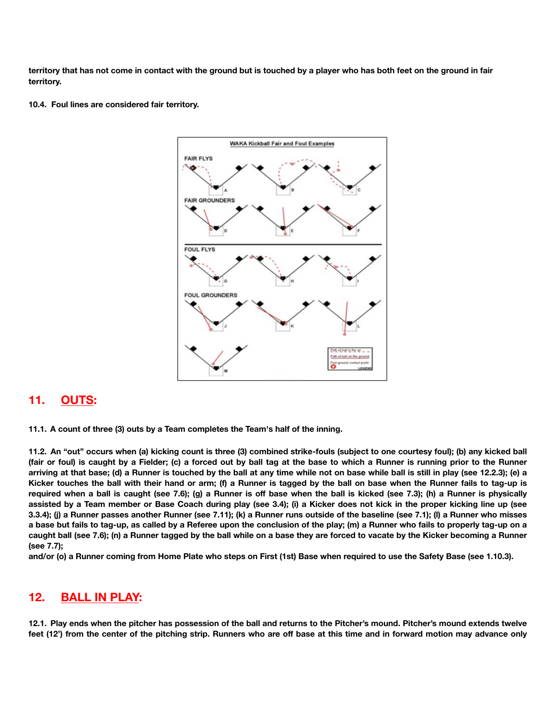**territory that has not come in contact with the ground but is touched by a player who has both feet on the ground in fair territory.** 

**10.4. Foul lines are considered fair territory.** 



#### **11. OUTS:**

**11.1. A count of three (3) outs by a Team completes the Team's half of the inning.** 

**11.2. An "out" occurs when (a) kicking count is three (3) combined strike-fouls (subject to one courtesy foul); (b) any kicked ball (fair or foul) is caught by a Fielder; (c) a forced out by ball tag at the base to which a Runner is running prior to the Runner arriving at that base; (d) a Runner is touched by the ball at any time while not on base while ball is still in play (see 12.2.3); (e) a Kicker touches the ball with their hand or arm; (f) a Runner is tagged by the ball on base when the Runner fails to tag‐up is required when a ball is caught (see 7.6); (g) a Runner is off base when the ball is kicked (see 7.3); (h) a Runner is physically assisted by a Team member or Base Coach during play (see 3.4); (i) a Kicker does not kick in the proper kicking line up (see 3.3.4); (j) a Runner passes another Runner (see 7.11); (k) a Runner runs outside of the baseline (see 7.1); (l) a Runner who misses a base but fails to tag-up, as called by a Referee upon the conclusion of the play; (m) a Runner who fails to properly tag-up on a caught ball (see 7.6); (n) a Runner tagged by the ball while on a base they are forced to vacate by the Kicker becoming a Runner (see 7.7);** 

**and/or (o) a Runner coming from Home Plate who steps on First (1st) Base when required to use the Safety Base (see 1.10.3).** 

#### **12. BALL IN PLAY:**

**12.1. Play ends when the pitcher has possession of the ball and returns to the Pitcher's mound. Pitcher's mound extends twelve feet (12') from the center of the pitching strip. Runners who are off base at this time and in forward motion may advance only**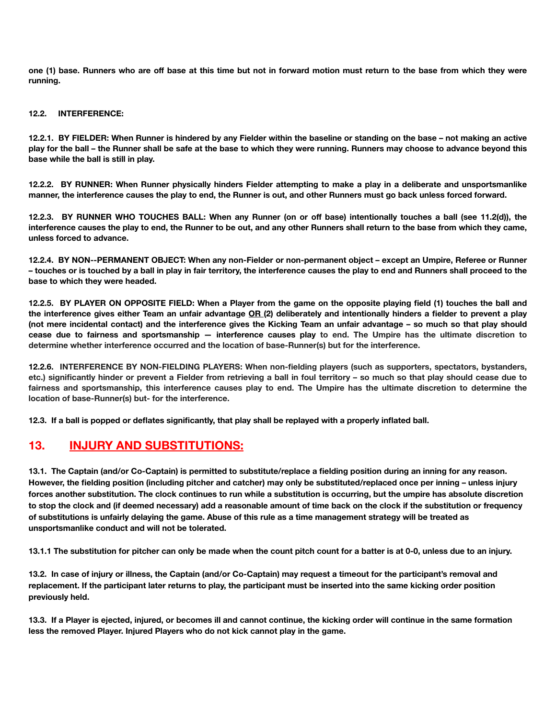**one (1) base. Runners who are off base at this time but not in forward motion must return to the base from which they were running.** 

#### **12.2. INTERFERENCE:**

**12.2.1. BY FIELDER: When Runner is hindered by any Fielder within the baseline or standing on the base – not making an active play for the ball – the Runner shall be safe at the base to which they were running. Runners may choose to advance beyond this base while the ball is still in play.** 

**12.2.2. BY RUNNER: When Runner physically hinders Fielder attempting to make a play in a deliberate and unsportsmanlike manner, the interference causes the play to end, the Runner is out, and other Runners must go back unless forced forward.** 

**12.2.3. BY RUNNER WHO TOUCHES BALL: When any Runner (on or off base) intentionally touches a ball (see 11.2(d)), the interference causes the play to end, the Runner to be out, and any other Runners shall return to the base from which they came, unless forced to advance.** 

**12.2.4. BY NON-‐PERMANENT OBJECT: When any non-Fielder or non-permanent object – except an Umpire, Referee or Runner – touches or is touched by a ball in play in fair territory, the interference causes the play to end and Runners shall proceed to the base to which they were headed.** 

**12.2.5. BY PLAYER ON OPPOSITE FIELD: When a Player from the game on the opposite playing field (1) touches the ball and the interference gives either Team an unfair advantage OR (2) deliberately and intentionally hinders a fielder to prevent a play (not mere incidental contact) and the interference gives the Kicking Team an unfair advantage – so much so that play should cease due to fairness and sportsmanship — interference causes play to end. The Umpire has the ultimate discretion to determine whether interference occurred and the location of base-Runner(s) but for the interference.** 

**12.2.6. INTERFERENCE BY NON-FIELDING PLAYERS: When non-fielding players (such as supporters, spectators, bystanders, etc.) significantly hinder or prevent a Fielder from retrieving a ball in foul territory – so much so that play should cease due to fairness and sportsmanship, this interference causes play to end. The Umpire has the ultimate discretion to determine the location of base-Runner(s) but- for the interference.** 

**12.3. If a ball is popped or deflates significantly, that play shall be replayed with a properly inflated ball.** 

## **13. INJURY AND SUBSTITUTIONS:**

**13.1. The Captain (and/or Co-Captain) is permitted to substitute/replace a fielding position during an inning for any reason. However, the fielding position (including pitcher and catcher) may only be substituted/replaced once per inning – unless injury forces another substitution. The clock continues to run while a substitution is occurring, but the umpire has absolute discretion to stop the clock and (if deemed necessary) add a reasonable amount of time back on the clock if the substitution or frequency of substitutions is unfairly delaying the game. Abuse of this rule as a time management strategy will be treated as unsportsmanlike conduct and will not be tolerated.** 

**13.1.1 The substitution for pitcher can only be made when the count pitch count for a batter is at 0-0, unless due to an injury.** 

**13.2. In case of injury or illness, the Captain (and/or Co-Captain) may request a timeout for the participant's removal and replacement. If the participant later returns to play, the participant must be inserted into the same kicking order position previously held.** 

**13.3. If a Player is ejected, injured, or becomes ill and cannot continue, the kicking order will continue in the same formation less the removed Player. Injured Players who do not kick cannot play in the game.**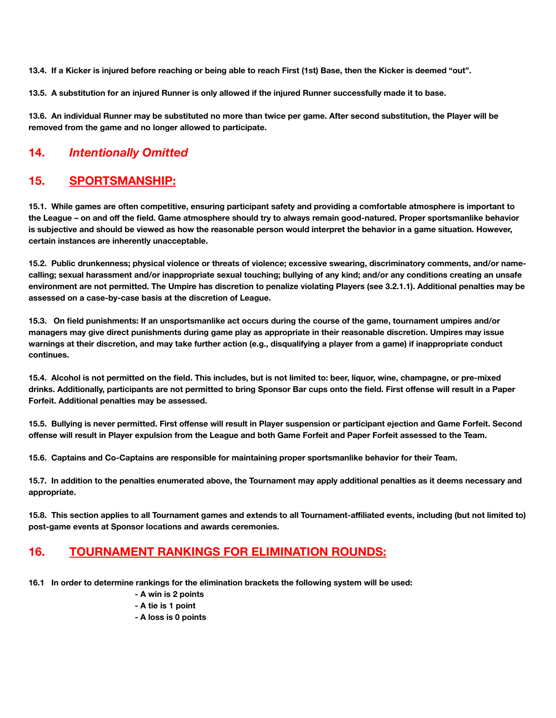**13.4. If a Kicker is injured before reaching or being able to reach First (1st) Base, then the Kicker is deemed "out".** 

**13.5. A substitution for an injured Runner is only allowed if the injured Runner successfully made it to base.** 

**13.6. An individual Runner may be substituted no more than twice per game. After second substitution, the Player will be removed from the game and no longer allowed to participate.** 

## **14.** *Intentionally Omitted*

#### **15. SPORTSMANSHIP:**

**15.1. While games are often competitive, ensuring participant safety and providing a comfortable atmosphere is important to the League – on and off the field. Game atmosphere should try to always remain good-natured. Proper sportsmanlike behavior is subjective and should be viewed as how the reasonable person would interpret the behavior in a game situation. However, certain instances are inherently unacceptable.** 

**15.2. Public drunkenness; physical violence or threats of violence; excessive swearing, discriminatory comments, and/or namecalling; sexual harassment and/or inappropriate sexual touching; bullying of any kind; and/or any conditions creating an unsafe environment are not permitted. The Umpire has discretion to penalize violating Players (see 3.2.1.1). Additional penalties may be assessed on a case-by-case basis at the discretion of League.** 

**15.3. On field punishments: If an unsportsmanlike act occurs during the course of the game, tournament umpires and/or managers may give direct punishments during game play as appropriate in their reasonable discretion. Umpires may issue warnings at their discretion, and may take further action (e.g., disqualifying a player from a game) if inappropriate conduct continues.**

**15.4. Alcohol is not permitted on the field. This includes, but is not limited to: beer, liquor, wine, champagne, or pre-mixed drinks. Additionally, participants are not permitted to bring Sponsor Bar cups onto the field. First offense will result in a Paper Forfeit. Additional penalties may be assessed.** 

**15.5. Bullying is never permitted. First offense will result in Player suspension or participant ejection and Game Forfeit. Second offense will result in Player expulsion from the League and both Game Forfeit and Paper Forfeit assessed to the Team.** 

**15.6. Captains and Co-Captains are responsible for maintaining proper sportsmanlike behavior for their Team.** 

**15.7. In addition to the penalties enumerated above, the Tournament may apply additional penalties as it deems necessary and appropriate.** 

**15.8. This section applies to all Tournament games and extends to all Tournament-affiliated events, including (but not limited to) post-game events at Sponsor locations and awards ceremonies.** 

## **16. TOURNAMENT RANKINGS FOR ELIMINATION ROUNDS:**

**16.1 In order to determine rankings for the elimination brackets the following system will be used:** 

- **A win is 2 points**
- **A tie is 1 point**
- **A loss is 0 points**